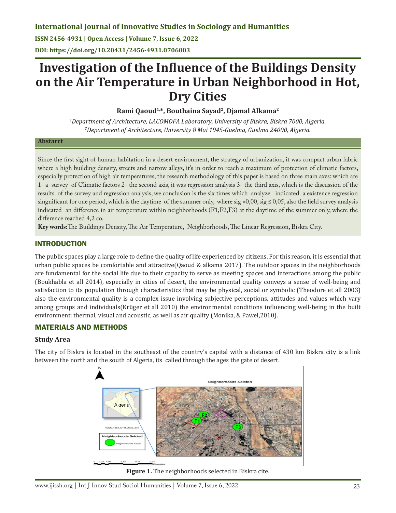**ISSN 2456-4931 | Open Access | Volume 7, Issue 6, 2022**

**DOI: https://doi.org/10.20431/2456-4931.0706003**

# **Investigation of the Influence of the Buildings Density on the Air Temperature in Urban Neighborhood in Hot, Dry Cities**

**Rami Qaoud1,\*, Bouthaina Sayad2, Djamal Alkama2**

*1 Department of Architecture, LACOMOFA Laboratory, University of Biskra, Biskra 7000, Algeria. 2 Department of Architecture, University 8 Mai 1945-Guelma, Guelma 24000, Algeria.*

#### **Abstarct**

Since the first sight of human habitation in a desert environment, the strategy of urbanization, it was compact urban fabric where a high building density, streets and narrow alleys, it's in order to reach a maximum of protection of climatic factors, especially protection of high air temperatures, the research methodology of this paper is based on three main axes: which are 1- a survey of Climatic factors 2- the second axis, it was regression analysis 3- the third axis, which is the discussion of the results of the survey and regression analysis, we conclusion is the six times which analyze indicated a existence regression singnificant for one period, which is the daytime of the summer only, where sig =0,00, sig  $\leq 0.05$ , also the field survey analysis indicated an difference in air temperature within neighborhoods (F1,F2,F3) at the daytime of the summer only, where the difference reached 4,2 co.

**Key words:**The Buildings Density, The Air Temperature, Neighborhoods, The Linear Regression, Biskra City.

## INTRODUCTION

The public spaces play a large role to define the quality of life experienced by citizens. For this reason, it is essential that urban public spaces be comfortable and attractive(Qaoud & alkama 2017). The outdoor spaces in the neighborhoods are fundamental for the social life due to their capacity to serve as meeting spaces and interactions among the public (Boukhabla et all 2014), especially in cities of desert, the environmental quality conveys a sense of well-being and satisfaction to its population through characteristics that may be physical, social or symbolic (Theodore et all 2003) also the environmental quality is a complex issue involving subjective perceptions, attitudes and values which vary among groups and individuals(Krüger et all 2010) the environmental conditions influencing well-being in the built environment: thermal, visual and acoustic, as well as air quality (Monika, & Pawel,2010).

# MATERIALS AND METHODS

## **Study Area**

The city of Biskra is located in the southeast of the country's capital with a distance of 430 km Biskra city is a link between the north and the south of Algeria, its called through the ages the gate of desert.



**Figure 1.** The neighborhoods selected in Biskra cite.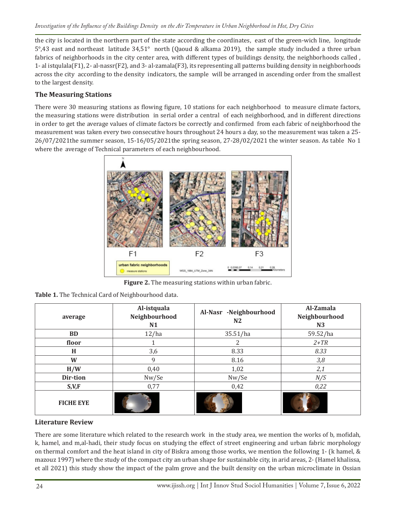the city is located in the northern part of the state according the coordinates, east of the green-wich line, longitude 5°,43 east and northeast latitude 34,51° north (Qaoud & alkama 2019), the sample study included a three urban fabrics of neighborhoods in the city center area, with different types of buildings density, the neighborhoods called , 1- al istqulala(F1), 2- al-nassr(F2), and 3- al-zamala(F3), its representing all patterns building density in neighborhoods across the city according to the density indicators, the sample will be arranged in ascending order from the smallest to the largest density.

## **The Measuring Stations**

There were 30 measuring stations as flowing figure, 10 stations for each neighborhood to measure climate factors, the measuring stations were distribution in serial order a central of each neighborhood, and in different directions in order to get the average values of climate factors be correctly and confirmed from each fabric of neighborhood the measurement was taken every two consecutive hours throughout 24 hours a day, so the measurement was taken a 25- 26/07/2021the summer season, 15-16/05/2021the spring season, 27-28/02/2021 the winter season. As table No 1 where the average of Technical parameters of each neighbourhood.



**Figure 2.** The measuring stations within urban fabric.

| Table 1. The Technical Card of Neighbourhood data. |
|----------------------------------------------------|
|                                                    |

| average          | Al-istquala<br>Neighbourhood<br>N1 | Al-Nasr -Neighbourhood<br>N <sub>2</sub> | Al-Zamala<br>Neighbourhood<br>N3 |  |
|------------------|------------------------------------|------------------------------------------|----------------------------------|--|
| <b>BD</b>        | 12/ha                              | 35.51/ha                                 | 59.52/ha                         |  |
| floor            |                                    | 2                                        | $2+TR$                           |  |
| H                | 3,6                                | 8.33                                     | 8.33                             |  |
| W                | 9                                  | 8.16                                     | 3,8                              |  |
| H/W              | 0,40                               | 1,02                                     | 2,1                              |  |
| Dir-tion         | Nw/Se                              | Nw/Se                                    | N/S                              |  |
| S, V, F          | 0,77                               | 0,42                                     | 0,22                             |  |
| <b>FICHE EYE</b> |                                    |                                          |                                  |  |

## **Literature Review**

There are some literature which related to the research work in the study area, we mention the works of b, mofidah, k, hamel, and m,al-hadi, their study focus on studying the effect of street engineering and urban fabric morphology on thermal comfort and the heat island in city of Biskra among those works, we mention the following 1- (k hamel, & mazouz 1997) where the study of the compact city an urban shape for sustainable city, in arid areas, 2- (Hamel khalissa, et all 2021) this study show the impact of the palm grove and the built density on the urban microclimate in Ossian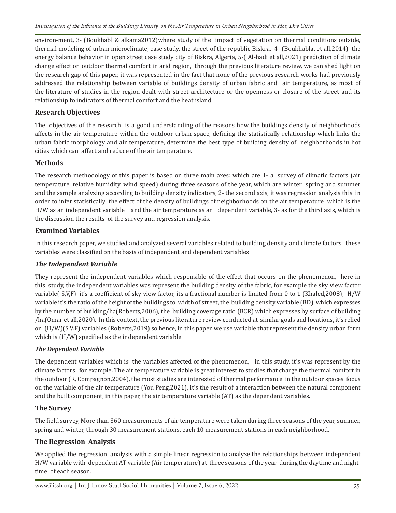environ-ment, 3- (Boukhabl & alkama2012)where study of the impact of vegetation on thermal conditions outside, thermal modeling of urban microclimate, case study, the street of the republic Biskra, 4- (Boukhabla, et all,2014) the energy balance behavior in open street case study city of Biskra, Algeria, 5-( Al-hadi et all,2021) prediction of climate change effect on outdoor thermal comfort in arid region, through the previous literature review, we can shed light on the research gap of this paper, it was represented in the fact that none of the previous research works had previously addressed the relationship between variable of buildings density of urban fabric and air temperature, as most of the literature of studies in the region dealt with street architecture or the openness or closure of the street and its relationship to indicators of thermal comfort and the heat island.

## **Research Objectives**

The objectives of the research is a good understanding of the reasons how the buildings density of neighborhoods affects in the air temperature within the outdoor urban space, defining the statistically relationship which links the urban fabric morphology and air temperature, determine the best type of building density of neighborhoods in hot cities which can affect and reduce of the air temperature.

## **Methods**

The research methodology of this paper is based on three main axes: which are 1- a survey of climatic factors (air temperature, relative humidity, wind speed) during three seasons of the year, which are winter spring and summer and the sample analyzing according to building density indicators, 2- the second axis, it was regression analysis this in order to infer statistically the effect of the density of buildings of neighborhoods on the air temperature which is the H/W as an independent variable and the air temperature as an dependent variable, 3- as for the third axis, which is the discussion the results of the survey and regression analysis.

## **Examined Variables**

In this research paper, we studied and analyzed several variables related to building density and climate factors, these variables were classified on the basis of independent and dependent variables.

## *The Independent Variable*

They represent the independent variables which responsible of the effect that occurs on the phenomenon, here in this study, the independent variables was represent the building density of the fabric, for example the sky view factor variable( S,V,F). it's a coefficient of sky view factor, its a fractional number is limited from 0 to 1 (Khaled,2008), H/W variable it's the ratio of the height of the buildings to width of street, the building density variable (BD), which expresses by the number of building/ha(Roberts,2006), the building coverage ratio (BCR) which expresses by surface of building /ha(Omar et all,2020). In this context, the previous literature review conducted at similar goals and locations, it's relied on (H/W)(S.V.F) variables (Roberts,2019) so hence, in this paper, we use variable that represent the density urban form which is (H/W) specified as the independent variable.

## *The Dependent Variable*

The dependent variables which is the variables affected of the phenomenon, in this study, it's was represent by the climate factors , for example. The air temperature variable is great interest to studies that charge the thermal comfort in the outdoor (R, Compagnon,2004), the most studies are interested of thermal performance in the outdoor spaces focus on the variable of the air temperature (You Peng,2021), it's the result of a interaction between the natural component and the built component, in this paper, the air temperature variable (AT) as the dependent variables.

## **The Survey**

The field survey, More than 360 measurements of air temperature were taken during three seasons of the year, summer, spring and winter, through 30 measurement stations, each 10 measurement stations in each neighborhood.

# **The Regression Analysis**

We applied the regression analysis with a simple linear regression to analyze the relationships between independent H/W variable with dependent AT variable (Air temperature) at three seasons of the year during the daytime and nighttime of each season.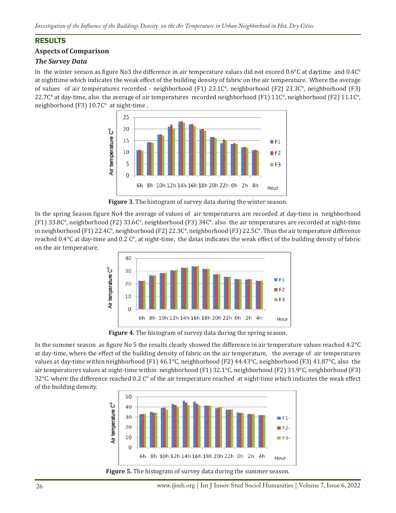# RESULTS

## **Aspects of Comparison**

## *The Survey Data*

In the winter seeson as figure No3 the difference in air temperature values did not exceed 0.6°C at daytime and 0.4C° at nighttime which indicates the weak effect of the building density of fabric on the air temperature. Where the average of values of air temperatures recorded - neighborhood (F1) 23.1C°, neighborhood (F2) 23.3C°, neighborhood (F3) 22.7C° at day-time, also the average of air temperatures recorded neighborhood (F1)  $11C^{\circ}$ , neighborhood (F2)  $11.1C^{\circ}$ , neighborhood (F3) 10.7C° at night-time .



**Figure 3**. The histogram of survey data during the winter season.

In the spring Season figure No4 the average of values of air temperatures are recorded at day-time in neighborhood (F1) 33.8C°, neighborhood (F2) 33.6C°, neighborhood (F3) 34C°. also the air temperatures are recorded at night-time in neighborhood (F1) 22.4C°, neighborhood (F2) 22.3C°, neighborhood (F3) 22.5C°. Thus the air temperature difference reached 0.4°C at day-time and 0.2 C°, at night-time, the datas indicates the weak effect of the building density of fabric on the air temperature.



**Figure 4.** The histogram of survey data during the spring season.

In the summer season as figure No 5 the results clearly showed the difference in air temperature values reached 4.2°C at day-time, where the effect of the building density of fabric on the air temperature, the average of air temperatures values at day-time within neighborhood (F1) 46.1°C, neighborhood (F2) 44.43°C, neighborhood (F3) 41.87°C, also the air temperatures values at night-time within neighborhood (F1) 32.1°C, neighborhood (F2) 31.9°C, neighborhood (F3) 32 $\degree$ C. where the difference reached 0.2 C $\degree$  of the air temperature reached at night-time which indicates the weak effect of the building density.



**Figure 5.** The histogram of survey data during the summer season.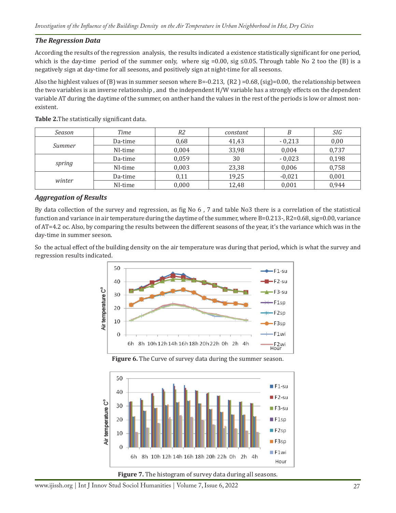#### *The Regression Data*

According the results of the regression analysis, the results indicated a existence statistically significant for one period, which is the day-time period of the summer only, where sig =0.00, sig ≤0.05. Through table No 2 too the (B) is a negatively sign at day-time for all seesons, and positively sign at night-time for all seesons.

Also the highlest values of (B) was in summer seeson where B=-0.213, (R2)=0.68, (sig)=0.00, the relationship between the two variables is an inverse relationship , and the independent H/W variable has a strongly effects on the dependent variable AT during the daytime of the summer, on anther hand the values in the rest of the periods is low or almost nonexistent.

| Season | Time    | R2    | constant |          | SIG   |
|--------|---------|-------|----------|----------|-------|
| Summer | Da-time | 0,68  | 41,43    | $-0,213$ | 0,00  |
|        | NI-time | 0,004 | 33,98    | 0.004    | 0,737 |
| spring | Da-time | 0,059 | 30       | $-0,023$ | 0,198 |
|        | NI-time | 0,003 | 23,38    | 0,006    | 0,758 |
| winter | Da-time | 0,11  | 19,25    | $-0,021$ | 0,001 |
|        | NI-time | 0,000 | 12,48    | 0,001    | 0,944 |

**Table 2.**The statistically significant data.

#### *Aggregation of Results*

By data collection of the survey and regression, as fig No 6 , 7 and table No3 there is a correlation of the statistical function and variance in air temperature during the daytime of the summer, where B=0.213-, R2=0.68, sig=0.00, variance of AT=4.2 oc. Also, by comparing the results between the different seasons of the year, it's the variance which was in the day-time in summer seeson.

So the actual effect of the building density on the air temperature was during that period, which is what the survey and regression results indicated.



**Figure 6.** The Curve of survey data during the summer season.



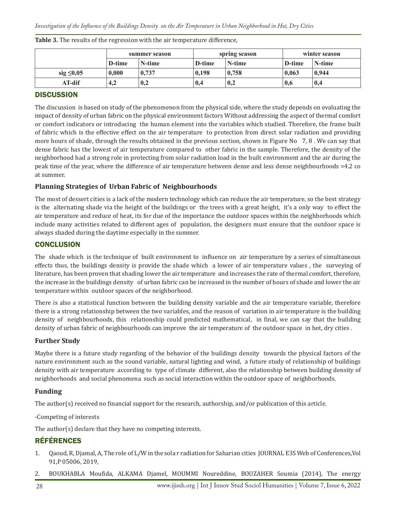|                 | summer season |        | spring season |        | winter season |        |
|-----------------|---------------|--------|---------------|--------|---------------|--------|
|                 | D-time        | N-time | D-time        | N-time | D-time        | N-time |
| sig $\leq 0.05$ | 0.000         | 0,737  | 0.198         | 0.758  | 0.063         | 0,944  |
| $AT$ -dif       | 4,2           | 0,2    | 0,4           | 0,2    | 0,6           | 0,4    |

**Table 3.** The results of the regression with the air temperature difference,

# **DISCUSSION**

The discussion is based on study of the phenomenon from the physical side, where the study depends on evaluating the impact of density of urban fabric on the physical environment factors Without addressing the aspect of thermal comfort or comfort indicators or introducing the human element into the variables which studied. Therefore, the frame built of fabric which is the effective effect on the air temperature to protection from direct solar radiation and providing more hours of shade, through the results obtained in the previous section, shown in Figure No 7, 8. We can say that dense fabric has the lowest of air temperature compared to other fabric in the sample. Therefore, the density of the neighborhood had a strong role in protecting from solar radiation load in the built environment and the air during the peak time of the year, where the difference of air temperature between dense and less dense neighbourhoods =4.2 co at summer.

## **Planning Strategies of Urban Fabric of Neighbourhoods**

The most of dessert cities is a lack of the modern technology which can reduce the air temperature, so the best strategy is the alternating shade via the height of the buildings or the trees with a great height, it's a only way to effect the air temperature and reduce of heat, its for due of the importance the outdoor spaces within the neighborhoods which include many activities related to different ages of population, the designers must ensure that the outdoor space is always shaded during the daytime especially in the summer.

#### **CONCLUSION**

The shade which is the technique of built environment to influence on air temperature by a series of simultaneous effects thus, the buildings density is provide the shade which a lower of air temperature values , the surveying of literature, has been proven that shading lower the air temperature and increases the rate of thermal comfort, therefore, the increase in the buildings density of urban fabric can be increased in the number of hours of shade and lower the air temperature within outdoor spaces of the neighborhood.

There is also a statistical function between the building density variable and the air temperature variable, therefore there is a strong relationship between the two variables, and the reason of variation in air temperature is the building density of neighbourhoods, this relationship could predicted mathematical, in final, we can say that the building density of urban fabric of neighbourhoods can improve the air temperature of the outdoor space in hot, dry cities .

#### **Further Study**

Maybe there is a future study regarding of the behavior of the buildings density towards the physical factors of the nature environment such as the sound variable, natural lighting and wind, a future study of relationship of buildings density with air temperature according to type of climate different, also the relationship between building density of neighborhoods and social phenomena such as social interaction within the outdoor space of neighborhoods.

## **Funding**

The author(s) received no financial support for the research, authorship, and/or publication of this article.

-Competing of interests

The author(s) declare that they have no competing interests.

# RÉFÉRENCES

- 1. Qaoud, R, Djamal, A, The role of L/W in the sola r radiation for Saharian cities JOURNAL E3S Web of Conferences,Vol 91,P 05006, 2019,
- 2. BOUKHABLA Moufida, ALKAMA Djamel, MOUMMI Noureddine, BOUZAHER Soumia (2014), The energy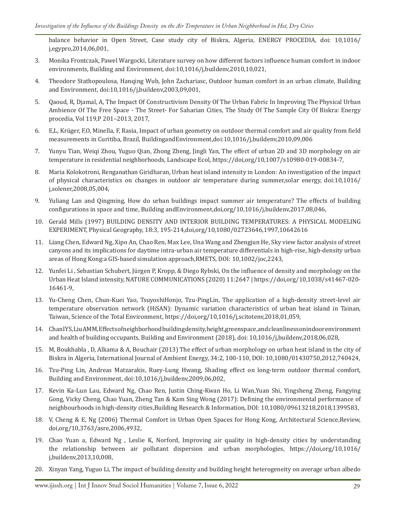balance behavior in Open Street, Case study city of Biskra, Algeria, ENERGY PROCEDIA, doi: 10,1016/ j,egypro,2014,06,001,

- 3. Monika Frontczak, Pawel Wargocki, Literature survey on how different factors influence human comfort in indoor environments, Building and Environment, doi:10,1016/j,buildenv,2010,10,021,
- 4. Theodore Stathopoulosa, Hanqing Wub, John Zachariasc, Outdoor human comfort in an urban climate, Building and Environment, doi:10,1016/j,buildenv,2003,09,001,
- 5. Qaoud, R, Djamal, A, The Impact Of Constructivism Density Of The Urban Fabric In Improving The Physical Urban Ambience Of The Free Space - The Street- For Saharian Cities, The Study Of The Sample City Of Biskra: Energy procedia, Vol 119,P 201–2013, 2017,
- 6. E,L, Krüger, F,O, Minella, F, Rasia, Impact of urban geometry on outdoor thermal comfort and air quality from field measurements in Curitiba, Brazil, BuildingandEnvironment,doi:10,1016/j,buildenv,2010,09,006
- 7. Yunyu Tian, Weiqi Zhou, Yuguo Qian, Zhong Zheng, Jingli Yan, The effect of urban 2D and 3D morphology on air temperature in residential neighborhoods, Landscape Ecol, https://doi,org/10,1007/s10980-019-00834-7,
- 8. Maria Kolokotroni, Renganathan Giridharan, Urban heat island intensity in London: An investigation of the impact of physical characteristics on changes in outdoor air temperature during summer,solar energy, doi:10,1016/ j,solener,2008,05,004,
- 9. Yuliang Lan and Qingming, How do urban buildings impact summer air temperature? The effects of building configurations in space and time, Building andEnvironment,doi,org/10,1016/j,buildenv,2017,08,046,
- 10. Gerald Mills (1997) BUILDING DENSITY AND INTERIOR BUILDING TEMPERATURES: A PHYSICAL MODELING EXPERIMENT, Physical Geography, 18:3, 195-214,doi,org/10,1080/02723646,1997,10642616
- 11. Liang Chen, Edward Ng, Xipo An, Chao Ren, Max Lee, Una Wang and Zhengjun He, Sky view factor analysis of street canyons and its implications for daytime intra-urban air temperature differentials in high-rise, high-density urban areas of Hong Kong:a GIS-based simulation approach,RMETS, DOI: 10,1002/joc,2243,
- 12. Yunfei Li , Sebastian Schubert, Jürgen P, Kropp, & Diego Rybski, On the influence of density and morphology on the Urban Heat Island intensity, NATURE COMMUNICATIONS (2020) 11:2647 | https://doi,org/10,1038/s41467-020- 16461-9,
- 13. Yu-Cheng Chen, Chun-Kuei Yao, TsuyoshiHonjo, Tzu-PingLin, The application of a high-density street-level air temperature observation network (HiSAN): Dynamic variation characteristics of urban heat island in Tainan, Taiwan, Science of the Total Environment, https://doi,org/10,1016/j,scitotenv,2018,01,059,
- 14. Chan IYS, Liu AMM, Effects of neighborhood building density, height,greenspace, and cleanliness on indoor environment and health of building occupants, Building and Environment (2018), doi: 10,1016/j,buildenv,2018,06,028,
- 15. M, Boukhabla , D, Alkama & A, Bouchair (2013) The effect of urban morphology on urban heat island in the city of Biskra in Algeria, International Journal of Ambient Energy, 34:2, 100-110, DOI: 10,1080/01430750,2012,740424,
- 16. Tzu-Ping Lin, Andreas Matzarakis, Ruey-Lung Hwang, Shading effect on long-term outdoor thermal comfort, Building and Environment, doi:10,1016/j,buildenv,2009,06,002,
- 17. Kevin Ka-Lun Lau, Edward Ng, Chao Ren, Justin Ching-Kwan Ho, Li Wan,Yuan Shi, Yingsheng Zheng, Fangying Gong, Vicky Cheng, Chao Yuan, Zheng Tan & Kam Sing Wong (2017): Defining the environmental performance of neighbourhoods in high-density cities,Building Research & Information, DOI: 10,1080/09613218,2018,1399583,
- 18. V, Cheng & E, Ng (2006) Thermal Comfort in Urban Open Spaces for Hong Kong, Architectural Science,Review, doi,org/10,3763/asre,2006,4932,
- 19. Chao Yuan a, Edward Ng , Leslie K, Norford, Improving air quality in high-density cities by understanding the relationship between air pollutant dispersion and urban morphologies, https://doi,org/10,1016/ j,buildenv,2013,10,008,
- 20. Xinyan Yang, Yuguo Li, The impact of building density and building height heterogeneity on average urban albedo